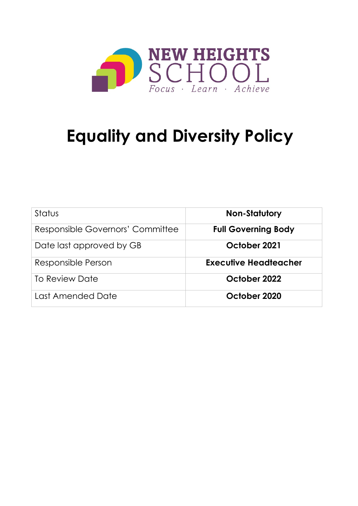

# **Equality and Diversity Policy**

| Status                           | <b>Non-Statutory</b>         |
|----------------------------------|------------------------------|
| Responsible Governors' Committee | <b>Full Governing Body</b>   |
| Date last approved by GB         | October 2021                 |
| Responsible Person               | <b>Executive Headteacher</b> |
| To Review Date                   | October 2022                 |
| Last Amended Date                | October 2020                 |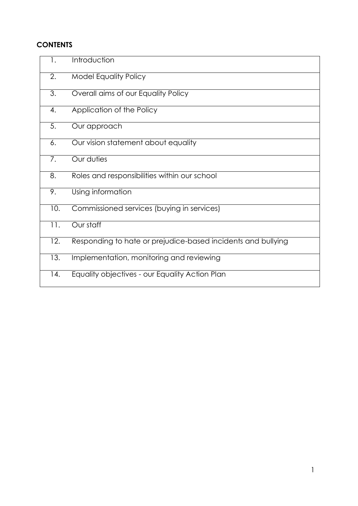# **CONTENTS**

| $\mathbf{1}$ . | Introduction                                                 |
|----------------|--------------------------------------------------------------|
| 2.             | <b>Model Equality Policy</b>                                 |
| 3.             | Overall aims of our Equality Policy                          |
| 4.             | Application of the Policy                                    |
| 5.             | Our approach                                                 |
| 6.             | Our vision statement about equality                          |
| 7.             | Our duties                                                   |
| 8.             | Roles and responsibilities within our school                 |
| 9.             | Using information                                            |
| 10.            | Commissioned services (buying in services)                   |
| 11.            | Our staff                                                    |
| 12.            | Responding to hate or prejudice-based incidents and bullying |
| 13.            | Implementation, monitoring and reviewing                     |
| 14.            | Equality objectives - our Equality Action Plan               |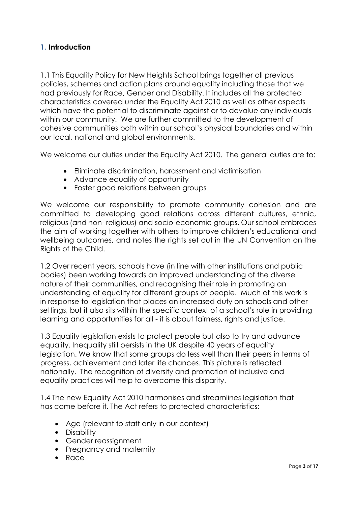## **1. Introduction**

1.1 This Equality Policy for New Heights School brings together all previous policies, schemes and action plans around equality including those that we had previously for Race, Gender and Disability. It includes all the protected characteristics covered under the Equality Act 2010 as well as other aspects which have the potential to discriminate against or to devalue any individuals within our community. We are further committed to the development of cohesive communities both within our school's physical boundaries and within our local, national and global environments.

We welcome our duties under the Equality Act 2010. The general duties are to:

- Eliminate discrimination, harassment and victimisation
- Advance equality of opportunity
- Foster good relations between groups

We welcome our responsibility to promote community cohesion and are committed to developing good relations across different cultures, ethnic, religious (and non- religious) and socio-economic groups. Our school embraces the aim of working together with others to improve children's educational and wellbeing outcomes, and notes the rights set out in the UN Convention on the Rights of the Child.

1.2 Over recent years, schools have (in line with other institutions and public bodies) been working towards an improved understanding of the diverse nature of their communities, and recognising their role in promoting an understanding of equality for different groups of people. Much of this work is in response to legislation that places an increased duty on schools and other settings, but it also sits within the specific context of a school's role in providing learning and opportunities for all - it is about fairness, rights and justice.

1.3 Equality legislation exists to protect people but also to try and advance equality. Inequality still persists in the UK despite 40 years of equality legislation. We know that some groups do less well than their peers in terms of progress, achievement and later life chances. This picture is reflected nationally. The recognition of diversity and promotion of inclusive and equality practices will help to overcome this disparity.

1.4 The new Equality Act 2010 harmonises and streamlines legislation that has come before it. The Act refers to protected characteristics:

- Age (relevant to staff only in our context)
- Disability
- Gender reassignment
- Pregnancy and maternity
- Race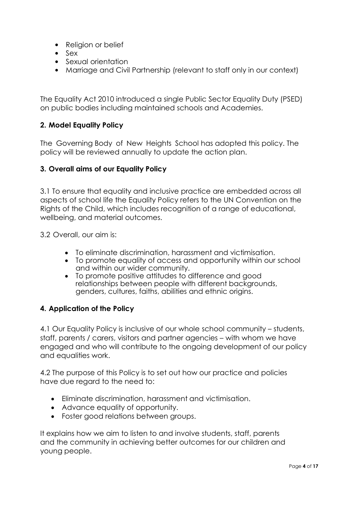- Religion or belief
- Sex
- Sexual orientation
- Marriage and Civil Partnership (relevant to staff only in our context)

The Equality Act 2010 introduced a single Public Sector Equality Duty (PSED) on public bodies including maintained schools and Academies.

### **2. Model Equality Policy**

The Governing Body of New Heights School has adopted this policy. The policy will be reviewed annually to update the action plan.

### **3. Overall aims of our Equality Policy**

3.1 To ensure that equality and inclusive practice are embedded across all aspects of school life the Equality Policy refers to the UN Convention on the Rights of the Child, which includes recognition of a range of educational, wellbeing, and material outcomes.

3.2 Overall, our aim is:

- To eliminate discrimination, harassment and victimisation.
- To promote equality of access and opportunity within our school and within our wider community.
- To promote positive attitudes to difference and good relationships between people with different backgrounds, genders, cultures, faiths, abilities and ethnic origins.

#### **4. Application of the Policy**

4.1 Our Equality Policy is inclusive of our whole school community – students, staff, parents / carers, visitors and partner agencies – with whom we have engaged and who will contribute to the ongoing development of our policy and equalities work.

4.2 The purpose of this Policy is to set out how our practice and policies have due regard to the need to:

- Eliminate discrimination, harassment and victimisation.
- Advance equality of opportunity.
- Foster good relations between groups.

It explains how we aim to listen to and involve students, staff, parents and the community in achieving better outcomes for our children and young people.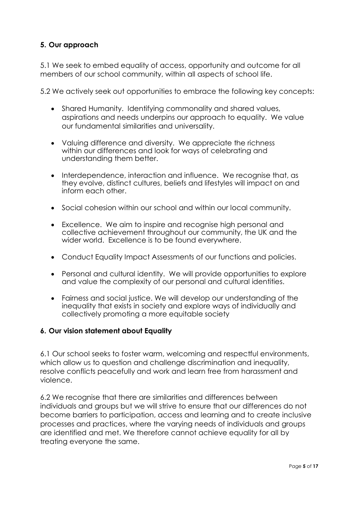# **5. Our approach**

5.1 We seek to embed equality of access, opportunity and outcome for all members of our school community, within all aspects of school life.

5.2 We actively seek out opportunities to embrace the following key concepts:

- Shared Humanity. Identifying commonality and shared values, aspirations and needs underpins our approach to equality. We value our fundamental similarities and universality.
- Valuing difference and diversity. We appreciate the richness within our differences and look for ways of celebrating and understanding them better.
- Interdependence, interaction and influence. We recognise that, as they evolve, distinct cultures, beliefs and lifestyles will impact on and inform each other.
- Social cohesion within our school and within our local community.
- Excellence. We aim to inspire and recognise high personal and collective achievement throughout our community, the UK and the wider world. Excellence is to be found everywhere.
- Conduct Equality Impact Assessments of our functions and policies.
- Personal and cultural identity. We will provide opportunities to explore and value the complexity of our personal and cultural identities.
- Fairness and social justice. We will develop our understanding of the inequality that exists in society and explore ways of individually and collectively promoting a more equitable society

#### **6. Our vision statement about Equality**

6.1 Our school seeks to foster warm, welcoming and respectful environments, which allow us to question and challenge discrimination and inequality, resolve conflicts peacefully and work and learn free from harassment and violence.

6.2 We recognise that there are similarities and differences between individuals and groups but we will strive to ensure that our differences do not become barriers to participation, access and learning and to create inclusive processes and practices, where the varying needs of individuals and groups are identified and met. We therefore cannot achieve equality for all by treating everyone the same.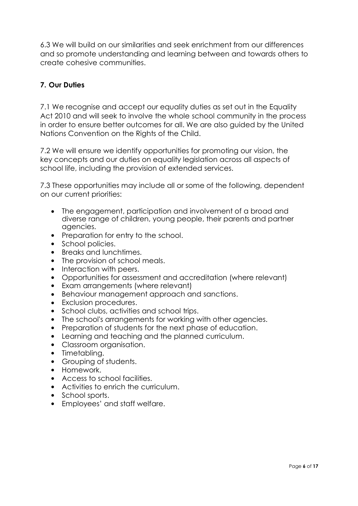6.3 We will build on our similarities and seek enrichment from our differences and so promote understanding and learning between and towards others to create cohesive communities.

# **7. Our Duties**

7.1 We recognise and accept our equality duties as set out in the Equality Act 2010 and will seek to involve the whole school community in the process in order to ensure better outcomes for all. We are also guided by the United Nations Convention on the Rights of the Child.

7.2 We will ensure we identify opportunities for promoting our vision, the key concepts and our duties on equality legislation across all aspects of school life, including the provision of extended services.

7.3 These opportunities may include all or some of the following, dependent on our current priorities:

- The engagement, participation and involvement of a broad and diverse range of children, young people, their parents and partner agencies.
- Preparation for entry to the school.
- School policies.
- Breaks and lunchtimes.
- The provision of school meals.
- Interaction with peers.
- Opportunities for assessment and accreditation (where relevant)
- Exam arrangements (where relevant)
- Behaviour management approach and sanctions.
- Exclusion procedures.
- School clubs, activities and school trips.
- The school's arrangements for working with other agencies.
- Preparation of students for the next phase of education.
- Learning and teaching and the planned curriculum.
- Classroom organisation.
- Timetabling.
- Grouping of students.
- Homework.
- Access to school facilities.
- Activities to enrich the curriculum.
- School sports.
- Employees' and staff welfare.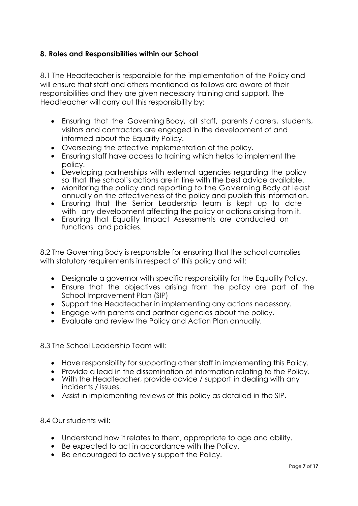## **8. Roles and Responsibilities within our School**

8.1 The Headteacher is responsible for the implementation of the Policy and will ensure that staff and others mentioned as follows are aware of their responsibilities and they are given necessary training and support. The Headteacher will carry out this responsibility by:

- Ensuring that the Governing Body, all staff, parents / carers, students, visitors and contractors are engaged in the development of and informed about the Equality Policy.
- Overseeing the effective implementation of the policy.
- Ensuring staff have access to training which helps to implement the policy.
- Developing partnerships with external agencies regarding the policy so that the school's actions are in line with the best advice available.
- Monitoring the policy and reporting to the Governing Body at least annually on the effectiveness of the policy and publish this information.
- Ensuring that the Senior Leadership team is kept up to date with any development affecting the policy or actions arising from it.
- Ensuring that Equality Impact Assessments are conducted on functions and policies.

8.2 The Governing Body is responsible for ensuring that the school complies with statutory requirements in respect of this policy and will:

- Designate a governor with specific responsibility for the Equality Policy.
- Ensure that the objectives arising from the policy are part of the School Improvement Plan (SIP)
- Support the Headteacher in implementing any actions necessary.
- Engage with parents and partner agencies about the policy.
- Evaluate and review the Policy and Action Plan annually.

8.3 The School Leadership Team will:

- Have responsibility for supporting other staff in implementing this Policy.
- Provide a lead in the dissemination of information relating to the Policy.
- With the Headteacher, provide advice / support in dealing with any incidents / issues.
- Assist in implementing reviews of this policy as detailed in the SIP.

8.4 Our students will:

- Understand how it relates to them, appropriate to age and ability.
- Be expected to act in accordance with the Policy.
- Be encouraged to actively support the Policy.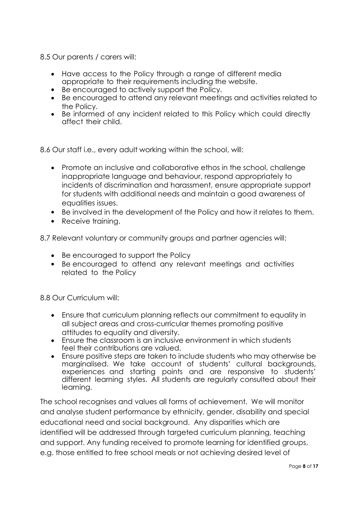8.5 Our parents / carers will:

- Have access to the Policy through a range of different media appropriate to their requirements including the website.
- Be encouraged to actively support the Policy.
- Be encouraged to attend any relevant meetings and activities related to the Policy.
- Be informed of any incident related to this Policy which could directly affect their child.

8.6 Our staff i.e., every adult working within the school, will:

- Promote an inclusive and collaborative ethos in the school, challenge inappropriate language and behaviour, respond appropriately to incidents of discrimination and harassment, ensure appropriate support for students with additional needs and maintain a good awareness of equalities issues.
- Be involved in the development of the Policy and how it relates to them.
- Receive training.

8.7 Relevant voluntary or community groups and partner agencies will:

- Be encouraged to support the Policy
- Be encouraged to attend any relevant meetings and activities related to the Policy

8.8 Our Curriculum will:

- Ensure that curriculum planning reflects our commitment to equality in all subject areas and cross-curricular themes promoting positive attitudes to equality and diversity.
- Ensure the classroom is an inclusive environment in which students feel their contributions are valued.
- Ensure positive steps are taken to include students who may otherwise be marginalised. We take account of students' cultural backgrounds, experiences and starting points and are responsive to students' different learning styles. All students are regularly consulted about their learning.

The school recognises and values all forms of achievement. We will monitor and analyse student performance by ethnicity, gender, disability and special educational need and social background. Any disparities which are identified will be addressed through targeted curriculum planning, teaching and support. Any funding received to promote learning for identified groups, e.g. those entitled to free school meals or not achieving desired level of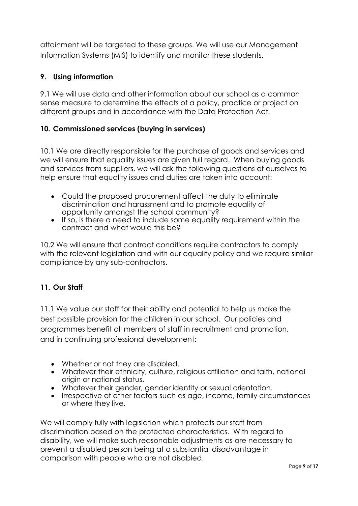attainment will be targeted to these groups. We will use our Management Information Systems (MIS) to identify and monitor these students.

# **9. Using information**

9.1 We will use data and other information about our school as a common sense measure to determine the effects of a policy, practice or project on different groups and in accordance with the Data Protection Act.

## **10. Commissioned services (buying in services)**

10.1 We are directly responsible for the purchase of goods and services and we will ensure that equality issues are given full regard. When buying goods and services from suppliers, we will ask the following questions of ourselves to help ensure that equality issues and duties are taken into account:

- Could the proposed procurement affect the duty to eliminate discrimination and harassment and to promote equality of opportunity amongst the school community?
- If so, is there a need to include some equality requirement within the contract and what would this be?

10.2 We will ensure that contract conditions require contractors to comply with the relevant legislation and with our equality policy and we require similar compliance by any sub-contractors.

## **11. Our Staff**

11.1 We value our staff for their ability and potential to help us make the best possible provision for the children in our school. Our policies and programmes benefit all members of staff in recruitment and promotion, and in continuing professional development:

- Whether or not they are disabled.
- Whatever their ethnicity, culture, religious affiliation and faith, national origin or national status.
- Whatever their gender, gender identity or sexual orientation.
- Irrespective of other factors such as age, income, family circumstances or where they live.

We will comply fully with legislation which protects our staff from discrimination based on the protected characteristics. With regard to disability, we will make such reasonable adjustments as are necessary to prevent a disabled person being at a substantial disadvantage in comparison with people who are not disabled.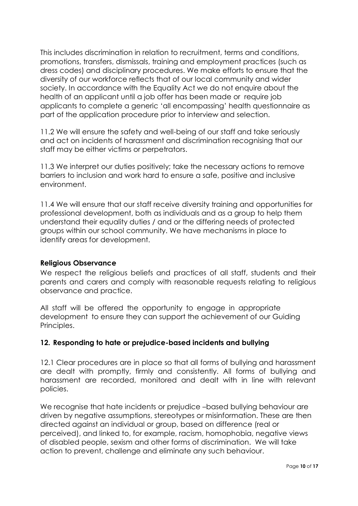This includes discrimination in relation to recruitment, terms and conditions, promotions, transfers, dismissals, training and employment practices (such as dress codes) and disciplinary procedures. We make efforts to ensure that the diversity of our workforce reflects that of our local community and wider society. In accordance with the Equality Act we do not enquire about the health of an applicant until a job offer has been made or require job applicants to complete a generic 'all encompassing' health questionnaire as part of the application procedure prior to interview and selection.

11.2 We will ensure the safety and well-being of our staff and take seriously and act on incidents of harassment and discrimination recognising that our staff may be either victims or perpetrators.

11.3 We interpret our duties positively; take the necessary actions to remove barriers to inclusion and work hard to ensure a safe, positive and inclusive environment.

11.4 We will ensure that our staff receive diversity training and opportunities for professional development, both as individuals and as a group to help them understand their equality duties / and or the differing needs of protected groups within our school community. We have mechanisms in place to identify areas for development.

#### **Religious Observance**

We respect the religious beliefs and practices of all staff, students and their parents and carers and comply with reasonable requests relating to religious observance and practice.

All staff will be offered the opportunity to engage in appropriate development to ensure they can support the achievement of our Guiding Principles.

## **12. Responding to hate or prejudice-based incidents and bullying**

12.1 Clear procedures are in place so that all forms of bullying and harassment are dealt with promptly, firmly and consistently. All forms of bullying and harassment are recorded, monitored and dealt with in line with relevant policies.

We recognise that hate incidents or prejudice –based bullying behaviour are driven by negative assumptions, stereotypes or misinformation. These are then directed against an individual or group, based on difference (real or perceived), and linked to, for example, racism, homophobia, negative views of disabled people, sexism and other forms of discrimination. We will take action to prevent, challenge and eliminate any such behaviour.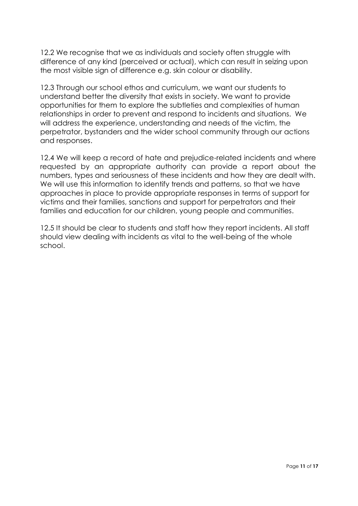12.2 We recognise that we as individuals and society often struggle with difference of any kind (perceived or actual), which can result in seizing upon the most visible sign of difference e.g. skin colour or disability.

12.3 Through our school ethos and curriculum, we want our students to understand better the diversity that exists in society. We want to provide opportunities for them to explore the subtleties and complexities of human relationships in order to prevent and respond to incidents and situations. We will address the experience, understanding and needs of the victim, the perpetrator, bystanders and the wider school community through our actions and responses.

12.4 We will keep a record of hate and prejudice-related incidents and where requested by an appropriate authority can provide a report about the numbers, types and seriousness of these incidents and how they are dealt with. We will use this information to identify trends and patterns, so that we have approaches in place to provide appropriate responses in terms of support for victims and their families, sanctions and support for perpetrators and their families and education for our children, young people and communities.

12.5 It should be clear to students and staff how they report incidents. All staff should view dealing with incidents as vital to the well-being of the whole school.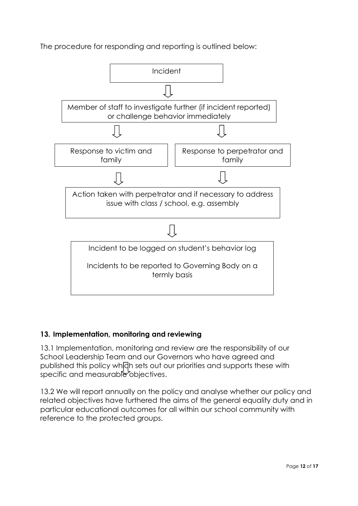The procedure for responding and reporting is outlined below:



## **13. Implementation, monitoring and reviewing**

13.1 Implementation, monitoring and review are the responsibility of our School Leadership Team and our Governors who have agreed and published this policy which sets out our priorities and supports these with specific and measurable objectives.

13.2 We will report annually on the policy and analyse whether our policy and related objectives have furthered the aims of the general equality duty and in particular educational outcomes for all within our school community with reference to the protected groups.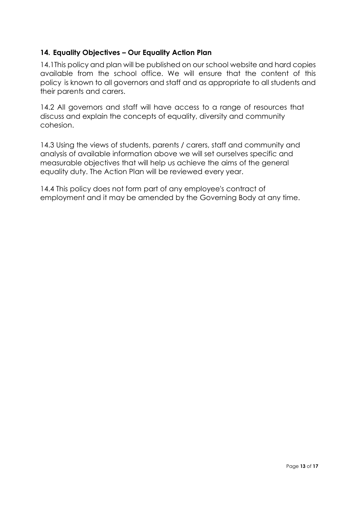## **14. Equality Objectives – Our Equality Action Plan**

14.1This policy and plan will be published on our school website and hard copies available from the school office. We will ensure that the content of this policy is known to all governors and staff and as appropriate to all students and their parents and carers.

14.2 All governors and staff will have access to a range of resources that discuss and explain the concepts of equality, diversity and community cohesion.

14.3 Using the views of students, parents / carers, staff and community and analysis of available information above we will set ourselves specific and measurable objectives that will help us achieve the aims of the general equality duty. The Action Plan will be reviewed every year.

14.4 This policy does not form part of any employee's contract of employment and it may be amended by the Governing Body at any time.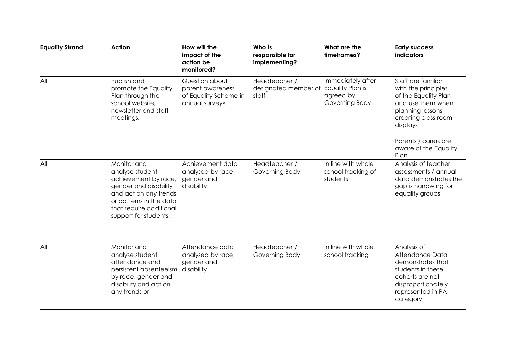| <b>Equality Strand</b> | <b>Action</b>                                                                                                                                                                           | How will the<br>impact of the<br>action be<br>monitored?                      | Who is<br>responsible for<br>implementing?     | What are the<br>timeframes?                                          | <b>Early success</b><br>indicators                                                                                                                                                                      |
|------------------------|-----------------------------------------------------------------------------------------------------------------------------------------------------------------------------------------|-------------------------------------------------------------------------------|------------------------------------------------|----------------------------------------------------------------------|---------------------------------------------------------------------------------------------------------------------------------------------------------------------------------------------------------|
| All                    | Publish and<br>promote the Equality<br>Plan through the<br>school website,<br>newsletter and staff<br>meetings.                                                                         | Question about<br>parent awareness<br>of Equality Scheme in<br>annual survey? | Headteacher /<br>designated member of<br>staff | Immediately after<br>Equality Plan is<br>agreed by<br>Governing Body | Staff are familiar<br>with the principles<br>of the Equality Plan<br>and use them when<br>planning lessons,<br>creating class room<br>displays<br>Parents / carers are<br>aware of the Equality<br>Plan |
| All                    | Monitor and<br>analyse student<br>achievement by race,<br>gender and disability<br>and act on any trends<br>or patterns in the data<br>that require additional<br>support for students. | Achievement data<br>analysed by race,<br>gender and<br>disability             | Headteacher /<br>Governing Body                | In line with whole<br>school tracking of<br>students                 | Analysis of teacher<br>assessments / annual<br>data demonstrates the<br>gap is narrowing for<br>equality groups                                                                                         |
| All                    | Monitor and<br>analyse student<br>attendance and<br>persistent absenteeism<br>by race, gender and<br>disability and act on<br>any trends or                                             | Attendance data<br>analysed by race,<br>gender and<br>disability              | Headteacher /<br>Governing Body                | In line with whole<br>school tracking                                | Analysis of<br>Attendance Data<br>demonstrates that<br>students in these<br>cohorts are not<br>disproportionately<br>represented in PA<br>category                                                      |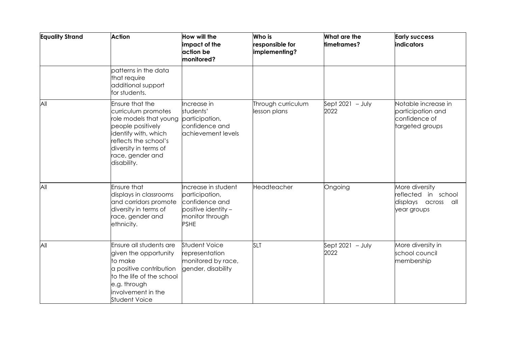| <b>Equality Strand</b> | <b>Action</b>                                                                                                                                                                                                     | How will the<br>impact of the<br>action be<br>monitored?                                                         | Who is<br>responsible for<br>implementing? | What are the<br>timeframes? | <b>Early success</b><br><b>indicators</b>                                     |
|------------------------|-------------------------------------------------------------------------------------------------------------------------------------------------------------------------------------------------------------------|------------------------------------------------------------------------------------------------------------------|--------------------------------------------|-----------------------------|-------------------------------------------------------------------------------|
|                        | patterns in the data<br>that require<br>additional support<br>for students.                                                                                                                                       |                                                                                                                  |                                            |                             |                                                                               |
| All                    | Ensure that the<br>curriculum promotes<br>role models that young participation,<br>people positively<br>identify with, which<br>reflects the school's<br>diversity in terms of<br>race, gender and<br>disability. | Increase in<br>students'<br>confidence and<br>achievement levels                                                 | Through curriculum<br>lesson plans         | Sept $2021 - July$<br>2022  | Notable increase in<br>participation and<br>confidence of<br>targeted groups  |
| All                    | <b>Ensure that</b><br>displays in classrooms<br>and corridors promote<br>diversity in terms of<br>race, gender and<br>ethnicity.                                                                                  | Increase in student<br>participation,<br>confidence and<br>positive identity -<br>monitor through<br><b>PSHE</b> | Headteacher                                | Ongoing                     | More diversity<br>eflected in school<br>displays across<br>all<br>year groups |
| All                    | Ensure all students are<br>given the opportunity<br>to make<br>a positive contribution<br>to the life of the school<br>e.g. through<br>involvement in the<br><b>Student Voice</b>                                 | <b>Student Voice</b><br>representation<br>monitored by race,<br>gender, disability                               | <b>SLT</b>                                 | Sept $2021 - July$<br>2022  | More diversity in<br>school council<br>membership                             |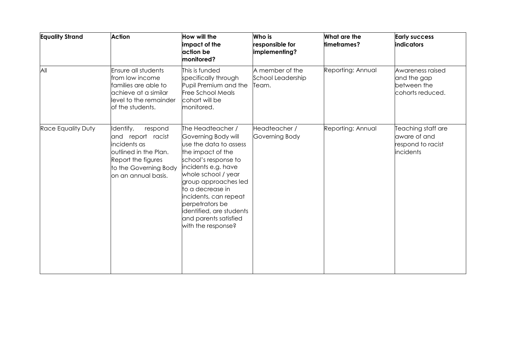| <b>Equality Strand</b>    | <b>Action</b>                                                                                                                                            | <b>How will the</b><br>impact of the<br>action be<br>monitored?                                                                                                                                                                                                                                                                  | Who is<br>responsible for<br>implementing?    | What are the<br>timeframes? | <b>Early success</b><br>indicators                                          |
|---------------------------|----------------------------------------------------------------------------------------------------------------------------------------------------------|----------------------------------------------------------------------------------------------------------------------------------------------------------------------------------------------------------------------------------------------------------------------------------------------------------------------------------|-----------------------------------------------|-----------------------------|-----------------------------------------------------------------------------|
| All                       | Ensure all students<br>from low income<br>families are able to<br>achieve at a similar<br>level to the remainder<br>of the students.                     | This is funded<br>specifically through<br>Pupil Premium and the<br><b>Free School Meals</b><br>cohort will be<br>monitored.                                                                                                                                                                                                      | A member of the<br>School Leadership<br>Team. | Reporting: Annual           | Awareness raised<br>and the gap<br>between the<br>cohorts reduced.          |
| <b>Race Equality Duty</b> | Identify,<br>respond<br>and report racist<br>incidents as<br>outlined in the Plan.<br>Report the figures<br>to the Governing Body<br>on an annual basis. | The Headteacher /<br>Governing Body will<br>use the data to assess<br>the impact of the<br>school's response to<br>incidents e.g. have<br>whole school / year<br>group approaches led<br>to a decrease in<br>incidents, can repeat<br>perpetrators be<br>identified, are students<br>and parents satisfied<br>with the response? | Headteacher /<br>Governing Body               | Reporting: Annual           | Teaching staff are<br>aware of and<br>respond to racist<br><i>incidents</i> |